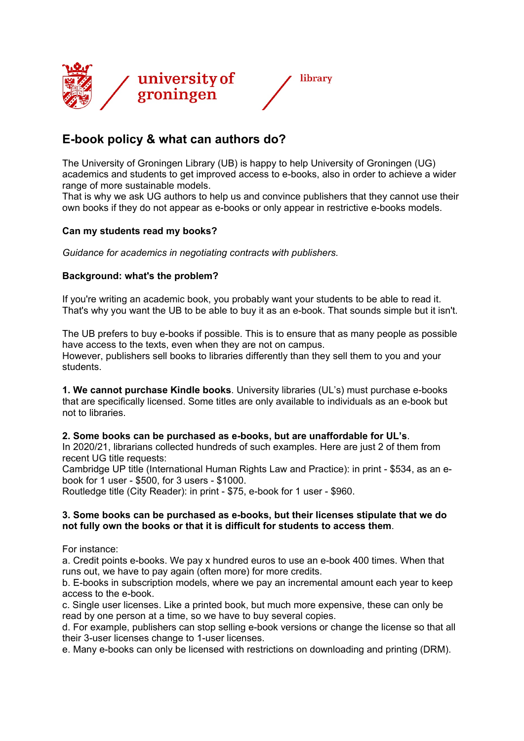

# **E-book policy & what can authors do?**

The University of Groningen Library (UB) is happy to help University of Groningen (UG) academics and students to get improved access to e-books, also in order to achieve a wider range of more sustainable models.

That is why we ask UG authors to help us and convince publishers that they cannot use their own books if they do not appear as e-books or only appear in restrictive e-books models.

## **Can my students read my books?**

*Guidance for academics in negotiating contracts with publishers.*

## **Background: what's the problem?**

If you're writing an academic book, you probably want your students to be able to read it. That's why you want the UB to be able to buy it as an e-book. That sounds simple but it isn't.

The UB prefers to buy e-books if possible. This is to ensure that as many people as possible have access to the texts, even when they are not on campus. However, publishers sell books to libraries differently than they sell them to you and your students.

**1. We cannot purchase Kindle books**. University libraries (UL's) must purchase e-books that are specifically licensed. Some titles are only available to individuals as an e-book but not to libraries.

## **2. Some books can be purchased as e-books, but are unaffordable for UL's**.

In 2020/21, librarians collected hundreds of such examples. Here are just 2 of them from recent UG title requests:

Cambridge UP title (International Human Rights Law and Practice): in print - \$534, as an ebook for 1 user - \$500, for 3 users - \$1000.

Routledge title (City Reader): in print - \$75, e-book for 1 user - \$960.

#### **3. Some books can be purchased as e-books, but their licenses stipulate that we do not fully own the books or that it is difficult for students to access them**.

For instance:

a. Credit points e-books. We pay x hundred euros to use an e-book 400 times. When that runs out, we have to pay again (often more) for more credits.

b. E-books in subscription models, where we pay an incremental amount each year to keep access to the e-book.

c. Single user licenses. Like a printed book, but much more expensive, these can only be read by one person at a time, so we have to buy several copies.

d. For example, publishers can stop selling e-book versions or change the license so that all their 3-user licenses change to 1-user licenses.

e. Many e-books can only be licensed with restrictions on downloading and printing (DRM).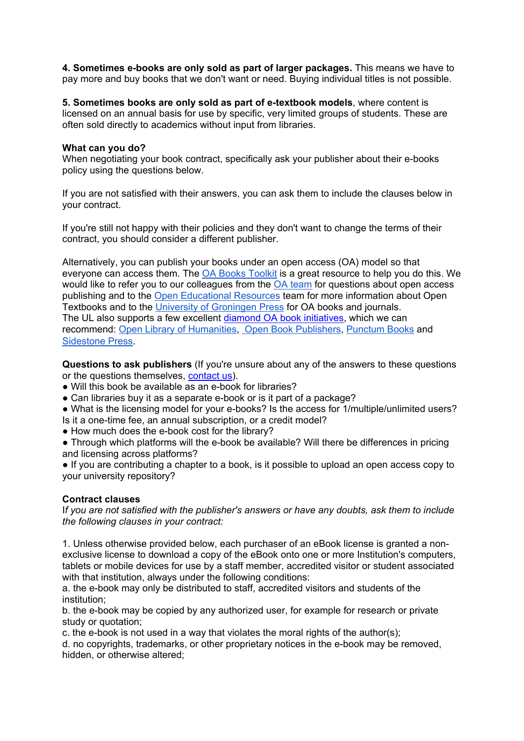**4. Sometimes e-books are only sold as part of larger packages.** This means we have to pay more and buy books that we don't want or need. Buying individual titles is not possible.

**5. Sometimes books are only sold as part of e-textbook models**, where content is licensed on an annual basis for use by specific, very limited groups of students. These are often sold directly to academics without input from libraries.

#### **What can you do?**

When negotiating your book contract, specifically ask your publisher about their e-books policy using the questions below.

If you are not satisfied with their answers, you can ask them to include the clauses below in your contract.

If you're still not happy with their policies and they don't want to change the terms of their contract, you should consider a different publisher.

Alternatively, you can publish your books under an open access (OA) model so that everyone can access them. The [OA Books Toolkit](https://www.oabooks-toolkit.org/) is a great resource to help you do this. We would like to refer you to our colleagues from the [OA team](https://www.rug.nl/library/open-access/how-to-publish-open-access/openaccessbooks) for questions about open access publishing and to the [Open Educational Resources](https://libguides.rug.nl/OER) team for more information about Open Textbooks and to the [University of Groningen Press](https://www.rug.nl/library/ugp/) for OA books and journals. The UL also supports a few excellent [diamond OA book initiatives,](https://www.rug.nl/library/open-access/deals-and-discounts/local-deals-and-support) which we can recommend: [Open Library of Humanities,](https://www.openlibhums.org/) [Open Book Publishers,](https://www.openbookpublishers.com/) [Punctum Books](https://punctumbooks.com/) an[d](https://www.sidestone.com/) [Sidestone Press](https://www.sidestone.com/).

**Questions to ask publishers** (If you're unsure about any of the answers to these questions or the questions themselves, [contact us\)](mailto:copyright@rug.nl).

- Will this book be available as an e-book for libraries?
- Can libraries buy it as a separate e-book or is it part of a package?

● What is the licensing model for your e-books? Is the access for 1/multiple/unlimited users? Is it a one-time fee, an annual subscription, or a credit model?

- How much does the e-book cost for the library?
- Through which platforms will the e-book be available? Will there be differences in pricing and licensing across platforms?

● If you are contributing a chapter to a book, is it possible to upload an open access copy to your university repository?

## **Contract clauses**

I*f you are not satisfied with the publisher's answers or have any doubts, ask them to include the following clauses in your contract:*

1. Unless otherwise provided below, each purchaser of an eBook license is granted a nonexclusive license to download a copy of the eBook onto one or more Institution's computers, tablets or mobile devices for use by a staff member, accredited visitor or student associated with that institution, always under the following conditions:

a. the e-book may only be distributed to staff, accredited visitors and students of the institution;

b. the e-book may be copied by any authorized user, for example for research or private study or quotation;

c. the e-book is not used in a way that violates the moral rights of the author(s);

d. no copyrights, trademarks, or other proprietary notices in the e-book may be removed, hidden, or otherwise altered;